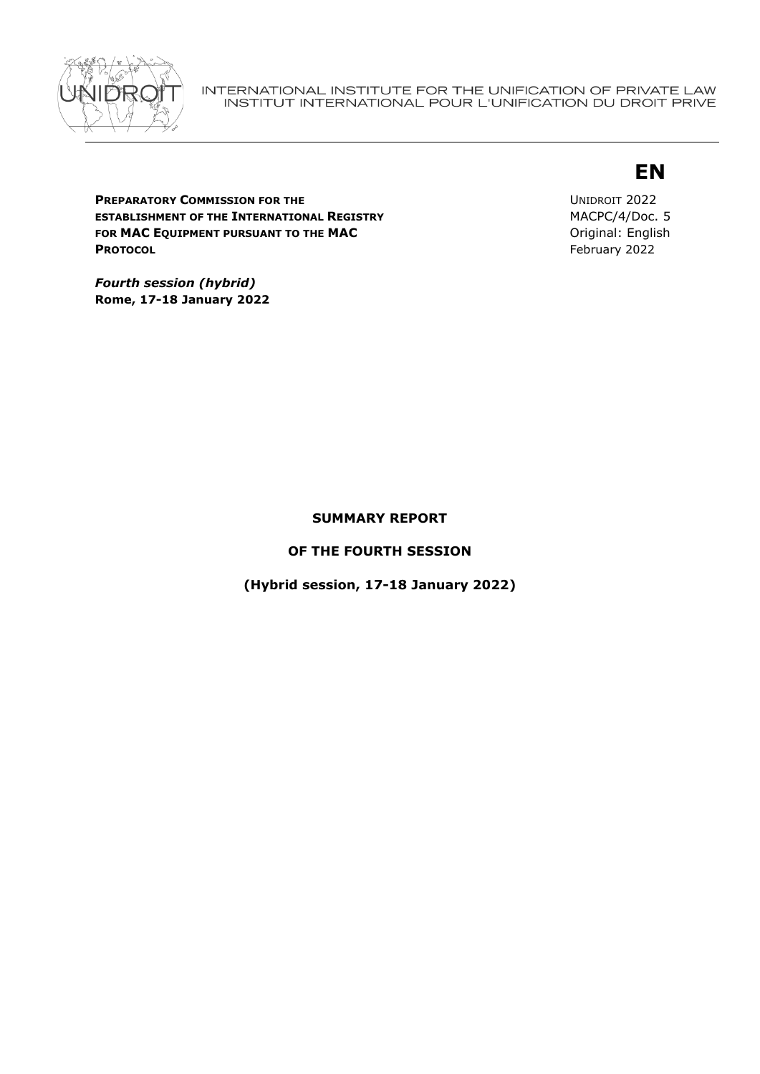

# **EN**

**PREPARATORY COMMISSION FOR THE ESTABLISHMENT OF THE INTERNATIONAL REGISTRY FOR MAC EQUIPMENT PURSUANT TO THE MAC PROTOCOL**

UNIDROIT 2022 MACPC/4/Doc. 5 Original: English February 2022

*Fourth session (hybrid)*  **Rome, 17-18 January 2022**

## **SUMMARY REPORT**

**OF THE FOURTH SESSION**

**(Hybrid session, 17-18 January 2022)**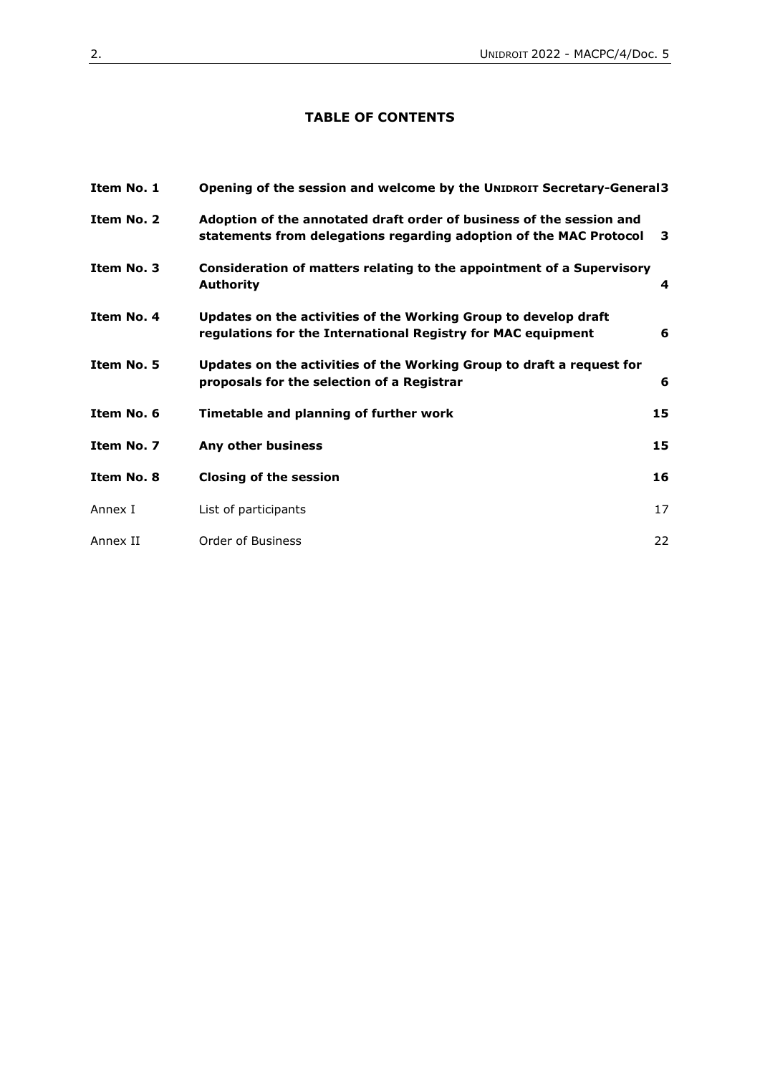## **TABLE OF CONTENTS**

| Item No. 1 | Opening of the session and welcome by the UNIDROIT Secretary-General3                                                                      |    |
|------------|--------------------------------------------------------------------------------------------------------------------------------------------|----|
| Item No. 2 | Adoption of the annotated draft order of business of the session and<br>statements from delegations regarding adoption of the MAC Protocol | 3  |
| Item No. 3 | Consideration of matters relating to the appointment of a Supervisory<br><b>Authority</b>                                                  | 4  |
| Item No. 4 | Updates on the activities of the Working Group to develop draft<br>regulations for the International Registry for MAC equipment            | 6  |
| Item No. 5 | Updates on the activities of the Working Group to draft a request for<br>proposals for the selection of a Registrar                        | 6  |
| Item No. 6 | Timetable and planning of further work                                                                                                     | 15 |
| Item No. 7 | Any other business                                                                                                                         | 15 |
| Item No. 8 | <b>Closing of the session</b>                                                                                                              | 16 |
| Annex I    | List of participants                                                                                                                       | 17 |
| Annex II   | Order of Business                                                                                                                          | 22 |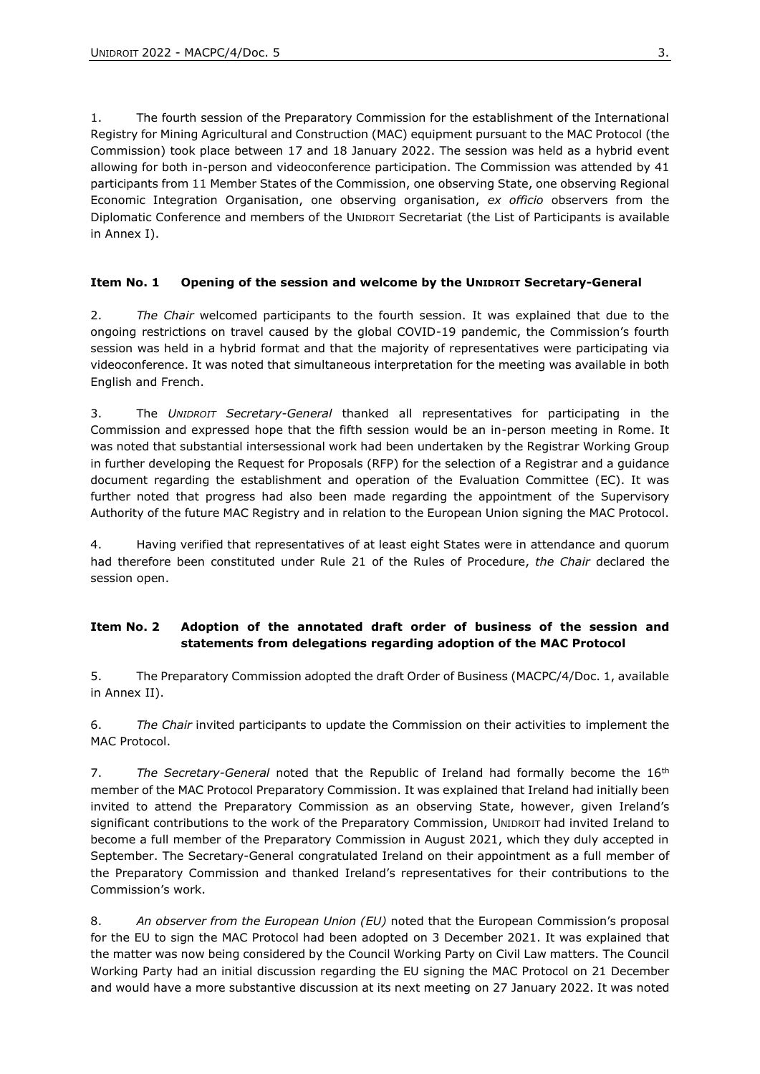1. The fourth session of the Preparatory Commission for the establishment of the International Registry for Mining Agricultural and Construction (MAC) equipment pursuant to the MAC Protocol (the Commission) took place between 17 and 18 January 2022. The session was held as a hybrid event allowing for both in-person and videoconference participation. The Commission was attended by 41 participants from 11 Member States of the Commission, one observing State, one observing Regional Economic Integration Organisation, one observing organisation, *ex officio* observers from the Diplomatic Conference and members of the UNIDROIT Secretariat (the List of Participants is available in Annex I).

#### <span id="page-2-0"></span>**Item No. 1 Opening of the session and welcome by the UNIDROIT Secretary-General**

2. *The Chair* welcomed participants to the fourth session. It was explained that due to the ongoing restrictions on travel caused by the global COVID-19 pandemic, the Commission's fourth session was held in a hybrid format and that the majority of representatives were participating via videoconference. It was noted that simultaneous interpretation for the meeting was available in both English and French.

3. The *UNIDROIT Secretary-General* thanked all representatives for participating in the Commission and expressed hope that the fifth session would be an in-person meeting in Rome. It was noted that substantial intersessional work had been undertaken by the Registrar Working Group in further developing the Request for Proposals (RFP) for the selection of a Registrar and a guidance document regarding the establishment and operation of the Evaluation Committee (EC). It was further noted that progress had also been made regarding the appointment of the Supervisory Authority of the future MAC Registry and in relation to the European Union signing the MAC Protocol.

4. Having verified that representatives of at least eight States were in attendance and quorum had therefore been constituted under Rule 21 of the Rules of Procedure, *the Chair* declared the session open.

#### <span id="page-2-1"></span>**Item No. 2 Adoption of the annotated draft order of business of the session and statements from delegations regarding adoption of the MAC Protocol**

5. The Preparatory Commission adopted the draft Order of Business (MACPC/4/Doc. 1, available in Annex II).

6. *The Chair* invited participants to update the Commission on their activities to implement the MAC Protocol.

7. The Secretary-General noted that the Republic of Ireland had formally become the 16<sup>th</sup> member of the MAC Protocol Preparatory Commission. It was explained that Ireland had initially been invited to attend the Preparatory Commission as an observing State, however, given Ireland's significant contributions to the work of the Preparatory Commission, UNIDROIT had invited Ireland to become a full member of the Preparatory Commission in August 2021, which they duly accepted in September. The Secretary-General congratulated Ireland on their appointment as a full member of the Preparatory Commission and thanked Ireland's representatives for their contributions to the Commission's work.

8. *An observer from the European Union (EU)* noted that the European Commission's proposal for the EU to sign the MAC Protocol had been adopted on 3 December 2021. It was explained that the matter was now being considered by the Council Working Party on Civil Law matters. The Council Working Party had an initial discussion regarding the EU signing the MAC Protocol on 21 December and would have a more substantive discussion at its next meeting on 27 January 2022. It was noted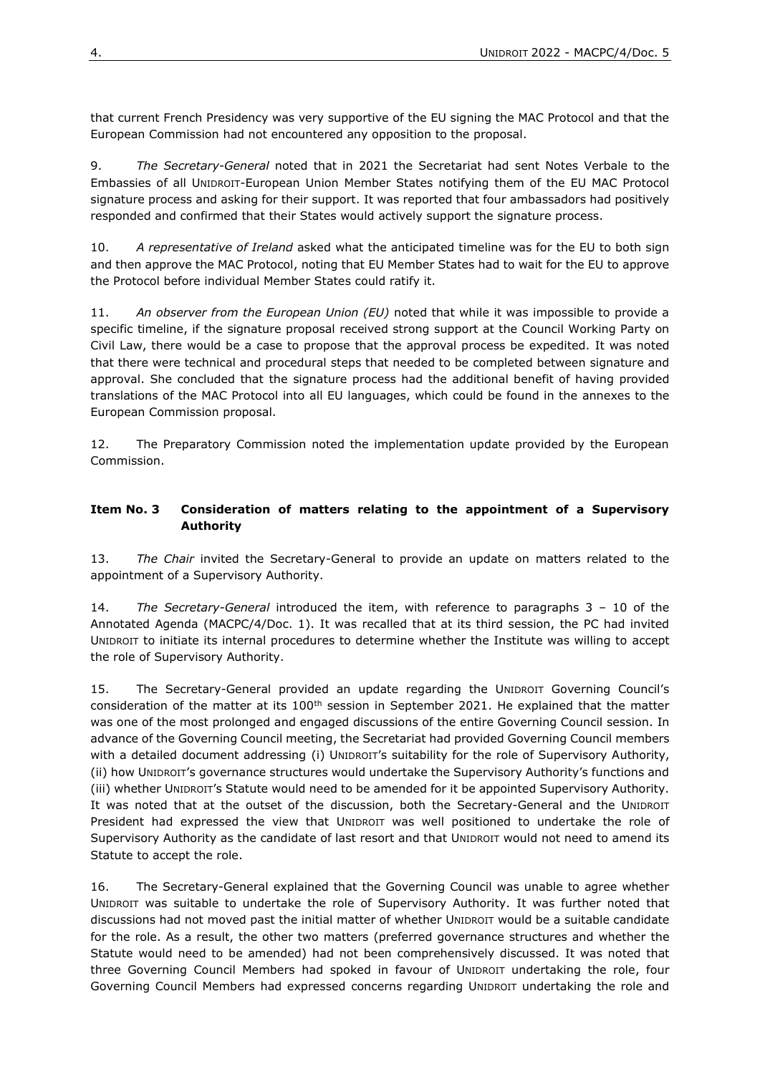that current French Presidency was very supportive of the EU signing the MAC Protocol and that the European Commission had not encountered any opposition to the proposal.

9. *The Secretary-General* noted that in 2021 the Secretariat had sent Notes Verbale to the Embassies of all UNIDROIT-European Union Member States notifying them of the EU MAC Protocol signature process and asking for their support. It was reported that four ambassadors had positively responded and confirmed that their States would actively support the signature process.

10. *A representative of Ireland* asked what the anticipated timeline was for the EU to both sign and then approve the MAC Protocol, noting that EU Member States had to wait for the EU to approve the Protocol before individual Member States could ratify it.

11. *An observer from the European Union (EU)* noted that while it was impossible to provide a specific timeline, if the signature proposal received strong support at the Council Working Party on Civil Law, there would be a case to propose that the approval process be expedited. It was noted that there were technical and procedural steps that needed to be completed between signature and approval. She concluded that the signature process had the additional benefit of having provided translations of the MAC Protocol into all EU languages, which could be found in the annexes to the European Commission proposal.

12. The Preparatory Commission noted the implementation update provided by the European Commission.

#### <span id="page-3-0"></span>**Item No. 3 Consideration of matters relating to the appointment of a Supervisory Authority**

13. *The Chair* invited the Secretary-General to provide an update on matters related to the appointment of a Supervisory Authority.

14. *The Secretary-General* introduced the item, with reference to paragraphs 3 – 10 of the Annotated Agenda (MACPC/4/Doc. 1). It was recalled that at its third session, the PC had invited UNIDROIT to initiate its internal procedures to determine whether the Institute was willing to accept the role of Supervisory Authority.

15. The Secretary-General provided an update regarding the UNIDROIT Governing Council's consideration of the matter at its 100<sup>th</sup> session in September 2021. He explained that the matter was one of the most prolonged and engaged discussions of the entire Governing Council session. In advance of the Governing Council meeting, the Secretariat had provided Governing Council members with a detailed document addressing (i) UNIDROIT's suitability for the role of Supervisory Authority, (ii) how UNIDROIT's governance structures would undertake the Supervisory Authority's functions and (iii) whether UNIDROIT's Statute would need to be amended for it be appointed Supervisory Authority. It was noted that at the outset of the discussion, both the Secretary-General and the UNIDROIT President had expressed the view that UNIDROIT was well positioned to undertake the role of Supervisory Authority as the candidate of last resort and that UNIDROIT would not need to amend its Statute to accept the role.

16. The Secretary-General explained that the Governing Council was unable to agree whether UNIDROIT was suitable to undertake the role of Supervisory Authority. It was further noted that discussions had not moved past the initial matter of whether UNIDROIT would be a suitable candidate for the role. As a result, the other two matters (preferred governance structures and whether the Statute would need to be amended) had not been comprehensively discussed. It was noted that three Governing Council Members had spoked in favour of UNIDROIT undertaking the role, four Governing Council Members had expressed concerns regarding UNIDROIT undertaking the role and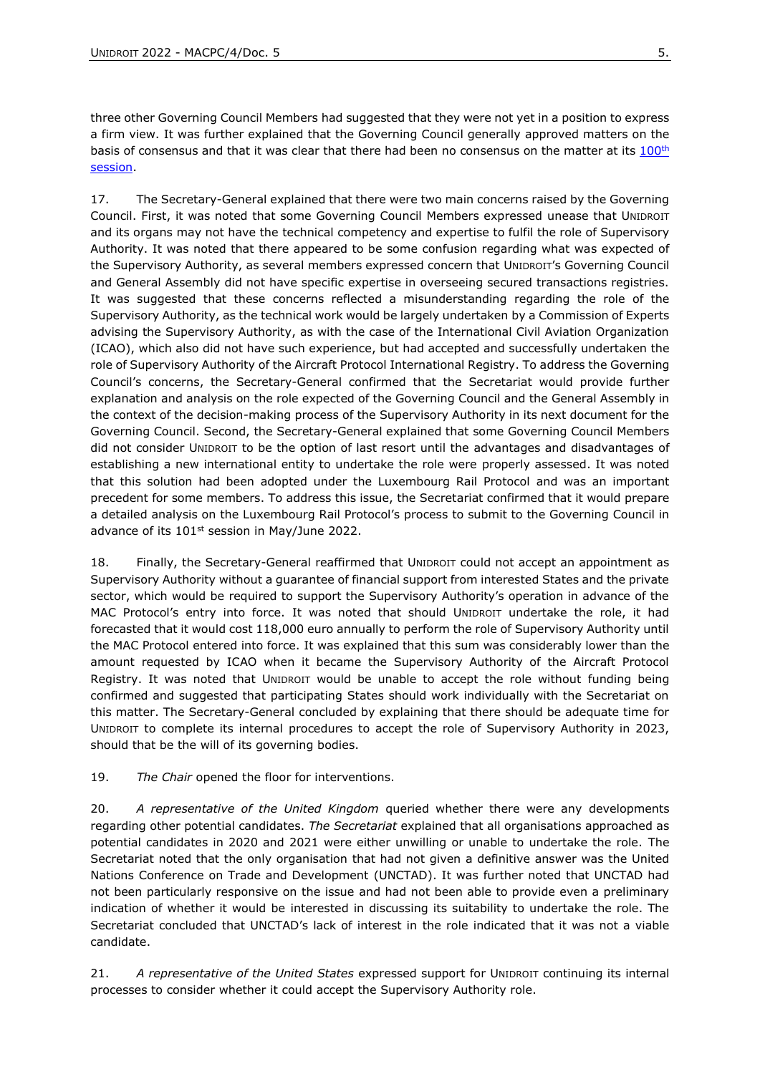three other Governing Council Members had suggested that they were not yet in a position to express a firm view. It was further explained that the Governing Council generally approved matters on the basis of consensus and that it was clear that there had been no consensus on the matter at its [100](https://www.unidroit.org/wp-content/uploads/2021/12/cd-100b-24e.pdf)<sup>th</sup> [session.](https://www.unidroit.org/wp-content/uploads/2021/12/cd-100b-24e.pdf)

17. The Secretary-General explained that there were two main concerns raised by the Governing Council. First, it was noted that some Governing Council Members expressed unease that UNIDROIT and its organs may not have the technical competency and expertise to fulfil the role of Supervisory Authority. It was noted that there appeared to be some confusion regarding what was expected of the Supervisory Authority, as several members expressed concern that UNIDROIT's Governing Council and General Assembly did not have specific expertise in overseeing secured transactions registries. It was suggested that these concerns reflected a misunderstanding regarding the role of the Supervisory Authority, as the technical work would be largely undertaken by a Commission of Experts advising the Supervisory Authority, as with the case of the International Civil Aviation Organization (ICAO), which also did not have such experience, but had accepted and successfully undertaken the role of Supervisory Authority of the Aircraft Protocol International Registry. To address the Governing Council's concerns, the Secretary-General confirmed that the Secretariat would provide further explanation and analysis on the role expected of the Governing Council and the General Assembly in the context of the decision-making process of the Supervisory Authority in its next document for the Governing Council. Second, the Secretary-General explained that some Governing Council Members did not consider UNIDROIT to be the option of last resort until the advantages and disadvantages of establishing a new international entity to undertake the role were properly assessed. It was noted that this solution had been adopted under the Luxembourg Rail Protocol and was an important precedent for some members. To address this issue, the Secretariat confirmed that it would prepare a detailed analysis on the Luxembourg Rail Protocol's process to submit to the Governing Council in advance of its 101<sup>st</sup> session in May/June 2022.

18. Finally, the Secretary-General reaffirmed that UNIDROIT could not accept an appointment as Supervisory Authority without a guarantee of financial support from interested States and the private sector, which would be required to support the Supervisory Authority's operation in advance of the MAC Protocol's entry into force. It was noted that should UNIDROIT undertake the role, it had forecasted that it would cost 118,000 euro annually to perform the role of Supervisory Authority until the MAC Protocol entered into force. It was explained that this sum was considerably lower than the amount requested by ICAO when it became the Supervisory Authority of the Aircraft Protocol Registry. It was noted that UNIDROIT would be unable to accept the role without funding being confirmed and suggested that participating States should work individually with the Secretariat on this matter. The Secretary-General concluded by explaining that there should be adequate time for UNIDROIT to complete its internal procedures to accept the role of Supervisory Authority in 2023, should that be the will of its governing bodies.

19. *The Chair* opened the floor for interventions.

20. *A representative of the United Kingdom* queried whether there were any developments regarding other potential candidates. *The Secretariat* explained that all organisations approached as potential candidates in 2020 and 2021 were either unwilling or unable to undertake the role. The Secretariat noted that the only organisation that had not given a definitive answer was the United Nations Conference on Trade and Development (UNCTAD). It was further noted that UNCTAD had not been particularly responsive on the issue and had not been able to provide even a preliminary indication of whether it would be interested in discussing its suitability to undertake the role. The Secretariat concluded that UNCTAD's lack of interest in the role indicated that it was not a viable candidate.

21. *A representative of the United States* expressed support for UNIDROIT continuing its internal processes to consider whether it could accept the Supervisory Authority role.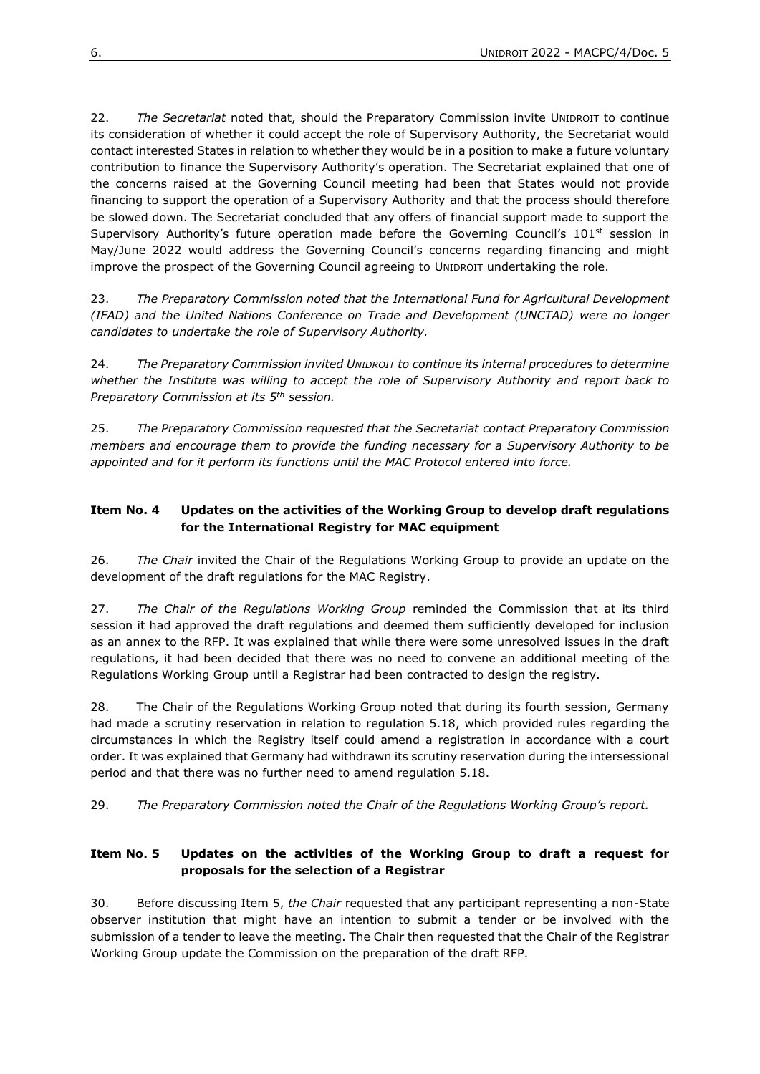22. *The Secretariat* noted that, should the Preparatory Commission invite UNIDROIT to continue its consideration of whether it could accept the role of Supervisory Authority, the Secretariat would contact interested States in relation to whether they would be in a position to make a future voluntary contribution to finance the Supervisory Authority's operation. The Secretariat explained that one of the concerns raised at the Governing Council meeting had been that States would not provide financing to support the operation of a Supervisory Authority and that the process should therefore be slowed down. The Secretariat concluded that any offers of financial support made to support the Supervisory Authority's future operation made before the Governing Council's  $101<sup>st</sup>$  session in May/June 2022 would address the Governing Council's concerns regarding financing and might improve the prospect of the Governing Council agreeing to UNIDROIT undertaking the role.

23. *The Preparatory Commission noted that the International Fund for Agricultural Development (IFAD) and the United Nations Conference on Trade and Development (UNCTAD) were no longer candidates to undertake the role of Supervisory Authority.*

24. *The Preparatory Commission invited UNIDROIT to continue its internal procedures to determine whether the Institute was willing to accept the role of Supervisory Authority and report back to Preparatory Commission at its 5th session.* 

25. *The Preparatory Commission requested that the Secretariat contact Preparatory Commission members and encourage them to provide the funding necessary for a Supervisory Authority to be appointed and for it perform its functions until the MAC Protocol entered into force.*

## <span id="page-5-0"></span>**Item No. 4 Updates on the activities of the Working Group to develop draft regulations for the International Registry for MAC equipment**

26. *The Chair* invited the Chair of the Regulations Working Group to provide an update on the development of the draft regulations for the MAC Registry.

27. *The Chair of the Regulations Working Group* reminded the Commission that at its third session it had approved the draft regulations and deemed them sufficiently developed for inclusion as an annex to the RFP. It was explained that while there were some unresolved issues in the draft regulations, it had been decided that there was no need to convene an additional meeting of the Regulations Working Group until a Registrar had been contracted to design the registry.

28. The Chair of the Regulations Working Group noted that during its fourth session, Germany had made a scrutiny reservation in relation to regulation 5.18, which provided rules regarding the circumstances in which the Registry itself could amend a registration in accordance with a court order. It was explained that Germany had withdrawn its scrutiny reservation during the intersessional period and that there was no further need to amend regulation 5.18.

29. *The Preparatory Commission noted the Chair of the Regulations Working Group's report.* 

#### <span id="page-5-1"></span>**Item No. 5 Updates on the activities of the Working Group to draft a request for proposals for the selection of a Registrar**

30. Before discussing Item 5, *the Chair* requested that any participant representing a non-State observer institution that might have an intention to submit a tender or be involved with the submission of a tender to leave the meeting. The Chair then requested that the Chair of the Registrar Working Group update the Commission on the preparation of the draft RFP.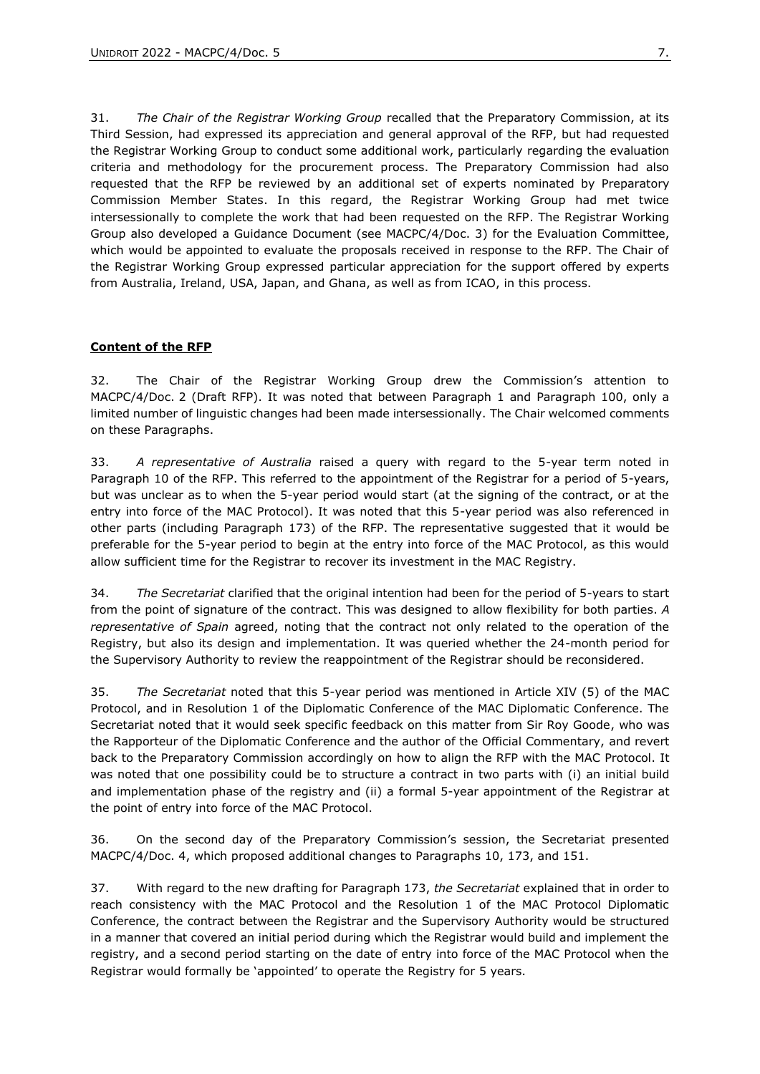31. *The Chair of the Registrar Working Group* recalled that the Preparatory Commission, at its Third Session, had expressed its appreciation and general approval of the RFP, but had requested the Registrar Working Group to conduct some additional work, particularly regarding the evaluation criteria and methodology for the procurement process. The Preparatory Commission had also requested that the RFP be reviewed by an additional set of experts nominated by Preparatory Commission Member States. In this regard, the Registrar Working Group had met twice intersessionally to complete the work that had been requested on the RFP. The Registrar Working Group also developed a Guidance Document (see MACPC/4/Doc. 3) for the Evaluation Committee, which would be appointed to evaluate the proposals received in response to the RFP. The Chair of the Registrar Working Group expressed particular appreciation for the support offered by experts from Australia, Ireland, USA, Japan, and Ghana, as well as from ICAO, in this process.

#### **Content of the RFP**

32. The Chair of the Registrar Working Group drew the Commission's attention to MACPC/4/Doc. 2 (Draft RFP). It was noted that between Paragraph 1 and Paragraph 100, only a limited number of linguistic changes had been made intersessionally. The Chair welcomed comments on these Paragraphs.

33. *A representative of Australia* raised a query with regard to the 5-year term noted in Paragraph 10 of the RFP. This referred to the appointment of the Registrar for a period of 5-years, but was unclear as to when the 5-year period would start (at the signing of the contract, or at the entry into force of the MAC Protocol). It was noted that this 5-year period was also referenced in other parts (including Paragraph 173) of the RFP. The representative suggested that it would be preferable for the 5-year period to begin at the entry into force of the MAC Protocol, as this would allow sufficient time for the Registrar to recover its investment in the MAC Registry.

34. *The Secretariat* clarified that the original intention had been for the period of 5-years to start from the point of signature of the contract. This was designed to allow flexibility for both parties. *A representative of Spain* agreed, noting that the contract not only related to the operation of the Registry, but also its design and implementation. It was queried whether the 24-month period for the Supervisory Authority to review the reappointment of the Registrar should be reconsidered.

35. *The Secretariat* noted that this 5-year period was mentioned in Article XIV (5) of the MAC Protocol, and in Resolution 1 of the Diplomatic Conference of the MAC Diplomatic Conference. The Secretariat noted that it would seek specific feedback on this matter from Sir Roy Goode, who was the Rapporteur of the Diplomatic Conference and the author of the Official Commentary, and revert back to the Preparatory Commission accordingly on how to align the RFP with the MAC Protocol. It was noted that one possibility could be to structure a contract in two parts with (i) an initial build and implementation phase of the registry and (ii) a formal 5-year appointment of the Registrar at the point of entry into force of the MAC Protocol.

36. On the second day of the Preparatory Commission's session, the Secretariat presented MACPC/4/Doc. 4, which proposed additional changes to Paragraphs 10, 173, and 151.

37. With regard to the new drafting for Paragraph 173, *the Secretariat* explained that in order to reach consistency with the MAC Protocol and the Resolution 1 of the MAC Protocol Diplomatic Conference, the contract between the Registrar and the Supervisory Authority would be structured in a manner that covered an initial period during which the Registrar would build and implement the registry, and a second period starting on the date of entry into force of the MAC Protocol when the Registrar would formally be 'appointed' to operate the Registry for 5 years.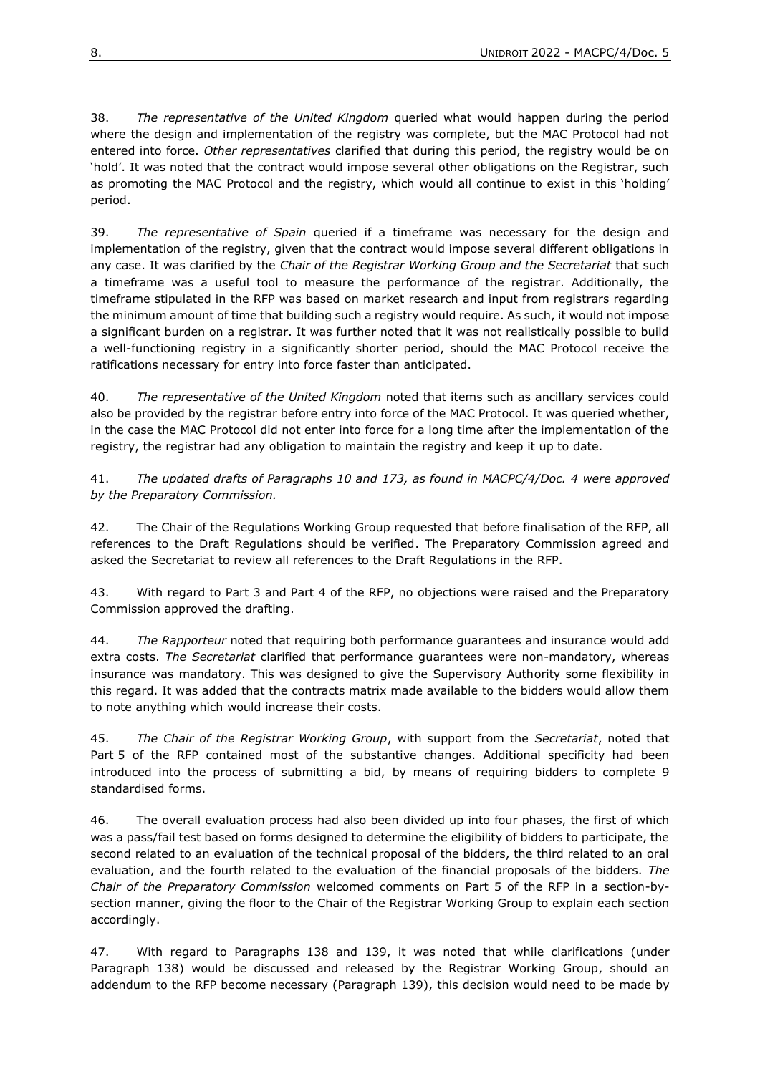38. *The representative of the United Kingdom* queried what would happen during the period where the design and implementation of the registry was complete, but the MAC Protocol had not entered into force. *Other representatives* clarified that during this period, the registry would be on 'hold'. It was noted that the contract would impose several other obligations on the Registrar, such as promoting the MAC Protocol and the registry, which would all continue to exist in this 'holding' period.

39. *The representative of Spain* queried if a timeframe was necessary for the design and implementation of the registry, given that the contract would impose several different obligations in any case. It was clarified by the *Chair of the Registrar Working Group and the Secretariat* that such a timeframe was a useful tool to measure the performance of the registrar. Additionally, the timeframe stipulated in the RFP was based on market research and input from registrars regarding the minimum amount of time that building such a registry would require. As such, it would not impose a significant burden on a registrar. It was further noted that it was not realistically possible to build a well-functioning registry in a significantly shorter period, should the MAC Protocol receive the ratifications necessary for entry into force faster than anticipated.

40. *The representative of the United Kingdom* noted that items such as ancillary services could also be provided by the registrar before entry into force of the MAC Protocol. It was queried whether, in the case the MAC Protocol did not enter into force for a long time after the implementation of the registry, the registrar had any obligation to maintain the registry and keep it up to date.

41. *The updated drafts of Paragraphs 10 and 173, as found in MACPC/4/Doc. 4 were approved by the Preparatory Commission.* 

42. The Chair of the Regulations Working Group requested that before finalisation of the RFP, all references to the Draft Regulations should be verified. The Preparatory Commission agreed and asked the Secretariat to review all references to the Draft Regulations in the RFP.

43. With regard to Part 3 and Part 4 of the RFP, no objections were raised and the Preparatory Commission approved the drafting.

44. *The Rapporteur* noted that requiring both performance guarantees and insurance would add extra costs. *The Secretariat* clarified that performance guarantees were non-mandatory, whereas insurance was mandatory. This was designed to give the Supervisory Authority some flexibility in this regard. It was added that the contracts matrix made available to the bidders would allow them to note anything which would increase their costs.

45. *The Chair of the Registrar Working Group*, with support from the *Secretariat*, noted that Part 5 of the RFP contained most of the substantive changes. Additional specificity had been introduced into the process of submitting a bid, by means of requiring bidders to complete 9 standardised forms.

46. The overall evaluation process had also been divided up into four phases, the first of which was a pass/fail test based on forms designed to determine the eligibility of bidders to participate, the second related to an evaluation of the technical proposal of the bidders, the third related to an oral evaluation, and the fourth related to the evaluation of the financial proposals of the bidders. *The Chair of the Preparatory Commission* welcomed comments on Part 5 of the RFP in a section-bysection manner, giving the floor to the Chair of the Registrar Working Group to explain each section accordingly.

47. With regard to Paragraphs 138 and 139, it was noted that while clarifications (under Paragraph 138) would be discussed and released by the Registrar Working Group, should an addendum to the RFP become necessary (Paragraph 139), this decision would need to be made by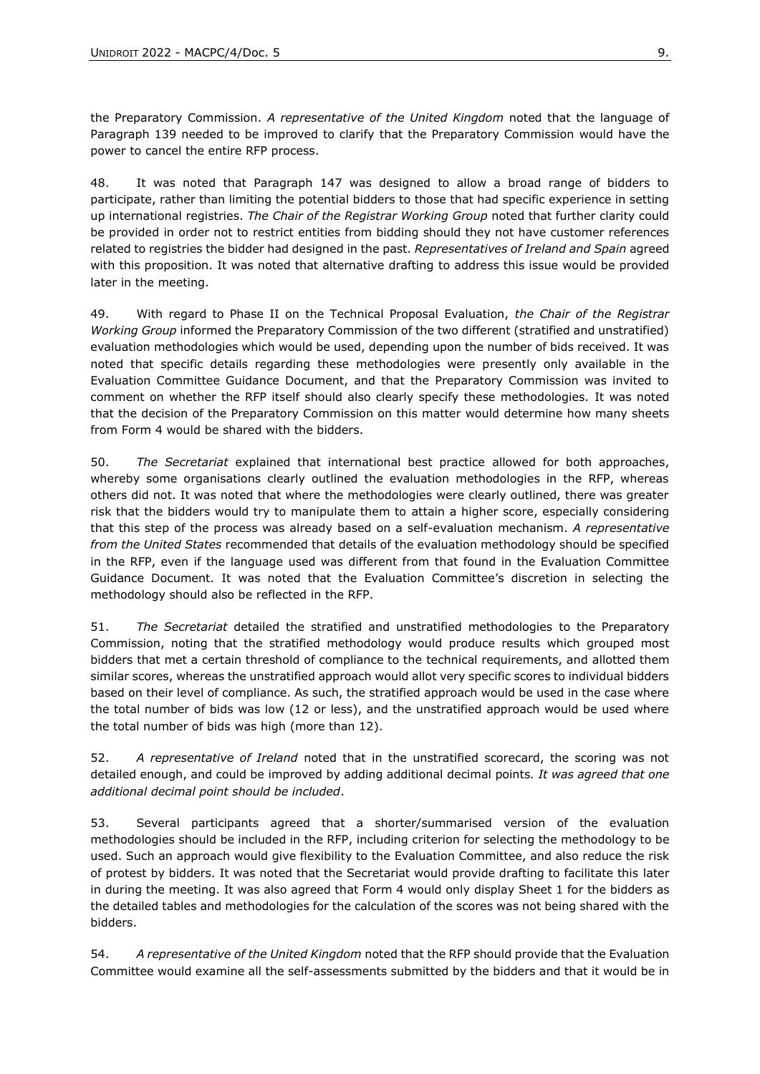the Preparatory Commission. *A representative of the United Kingdom* noted that the language of Paragraph 139 needed to be improved to clarify that the Preparatory Commission would have the power to cancel the entire RFP process.

48. It was noted that Paragraph 147 was designed to allow a broad range of bidders to participate, rather than limiting the potential bidders to those that had specific experience in setting up international registries. *The Chair of the Registrar Working Group* noted that further clarity could be provided in order not to restrict entities from bidding should they not have customer references related to registries the bidder had designed in the past. *Representatives of Ireland and Spain* agreed with this proposition. It was noted that alternative drafting to address this issue would be provided later in the meeting.

49. With regard to Phase II on the Technical Proposal Evaluation, *the Chair of the Registrar Working Group* informed the Preparatory Commission of the two different (stratified and unstratified) evaluation methodologies which would be used, depending upon the number of bids received. It was noted that specific details regarding these methodologies were presently only available in the Evaluation Committee Guidance Document, and that the Preparatory Commission was invited to comment on whether the RFP itself should also clearly specify these methodologies. It was noted that the decision of the Preparatory Commission on this matter would determine how many sheets from Form 4 would be shared with the bidders.

50. *The Secretariat* explained that international best practice allowed for both approaches, whereby some organisations clearly outlined the evaluation methodologies in the RFP, whereas others did not. It was noted that where the methodologies were clearly outlined, there was greater risk that the bidders would try to manipulate them to attain a higher score, especially considering that this step of the process was already based on a self-evaluation mechanism. *A representative from the United States* recommended that details of the evaluation methodology should be specified in the RFP, even if the language used was different from that found in the Evaluation Committee Guidance Document. It was noted that the Evaluation Committee's discretion in selecting the methodology should also be reflected in the RFP.

51. *The Secretariat* detailed the stratified and unstratified methodologies to the Preparatory Commission, noting that the stratified methodology would produce results which grouped most bidders that met a certain threshold of compliance to the technical requirements, and allotted them similar scores, whereas the unstratified approach would allot very specific scores to individual bidders based on their level of compliance. As such, the stratified approach would be used in the case where the total number of bids was low (12 or less), and the unstratified approach would be used where the total number of bids was high (more than 12).

52. *A representative of Ireland* noted that in the unstratified scorecard, the scoring was not detailed enough, and could be improved by adding additional decimal points*. It was agreed that one additional decimal point should be included*.

53. Several participants agreed that a shorter/summarised version of the evaluation methodologies should be included in the RFP, including criterion for selecting the methodology to be used. Such an approach would give flexibility to the Evaluation Committee, and also reduce the risk of protest by bidders. It was noted that the Secretariat would provide drafting to facilitate this later in during the meeting. It was also agreed that Form 4 would only display Sheet 1 for the bidders as the detailed tables and methodologies for the calculation of the scores was not being shared with the bidders.

54. *A representative of the United Kingdom* noted that the RFP should provide that the Evaluation Committee would examine all the self-assessments submitted by the bidders and that it would be in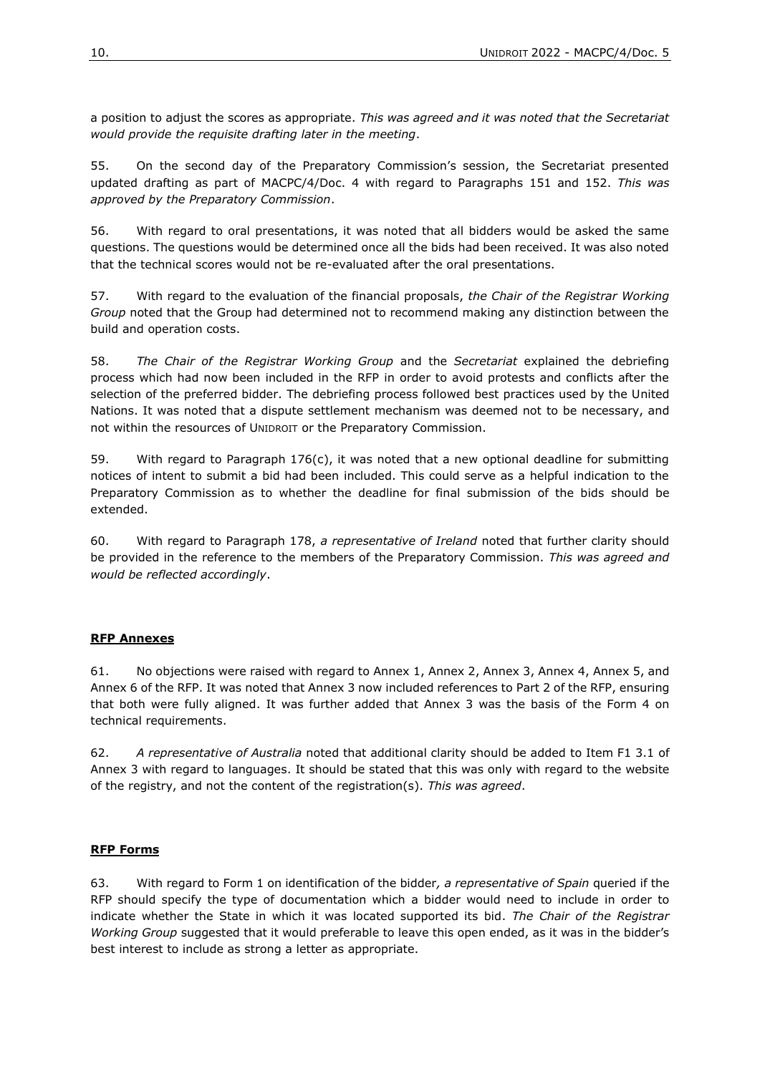a position to adjust the scores as appropriate. *This was agreed and it was noted that the Secretariat would provide the requisite drafting later in the meeting*.

55. On the second day of the Preparatory Commission's session, the Secretariat presented updated drafting as part of MACPC/4/Doc. 4 with regard to Paragraphs 151 and 152. *This was approved by the Preparatory Commission*.

56. With regard to oral presentations, it was noted that all bidders would be asked the same questions. The questions would be determined once all the bids had been received. It was also noted that the technical scores would not be re-evaluated after the oral presentations.

57. With regard to the evaluation of the financial proposals, *the Chair of the Registrar Working Group* noted that the Group had determined not to recommend making any distinction between the build and operation costs.

58. *The Chair of the Registrar Working Group* and the *Secretariat* explained the debriefing process which had now been included in the RFP in order to avoid protests and conflicts after the selection of the preferred bidder. The debriefing process followed best practices used by the United Nations. It was noted that a dispute settlement mechanism was deemed not to be necessary, and not within the resources of UNIDROIT or the Preparatory Commission.

59. With regard to Paragraph 176(c), it was noted that a new optional deadline for submitting notices of intent to submit a bid had been included. This could serve as a helpful indication to the Preparatory Commission as to whether the deadline for final submission of the bids should be extended.

60. With regard to Paragraph 178, *a representative of Ireland* noted that further clarity should be provided in the reference to the members of the Preparatory Commission. *This was agreed and would be reflected accordingly*.

#### **RFP Annexes**

61. No objections were raised with regard to Annex 1, Annex 2, Annex 3, Annex 4, Annex 5, and Annex 6 of the RFP. It was noted that Annex 3 now included references to Part 2 of the RFP, ensuring that both were fully aligned. It was further added that Annex 3 was the basis of the Form 4 on technical requirements.

62. *A representative of Australia* noted that additional clarity should be added to Item F1 3.1 of Annex 3 with regard to languages. It should be stated that this was only with regard to the website of the registry, and not the content of the registration(s). *This was agreed*.

#### **RFP Forms**

63. With regard to Form 1 on identification of the bidder*, a representative of Spain* queried if the RFP should specify the type of documentation which a bidder would need to include in order to indicate whether the State in which it was located supported its bid. *The Chair of the Registrar Working Group* suggested that it would preferable to leave this open ended, as it was in the bidder's best interest to include as strong a letter as appropriate.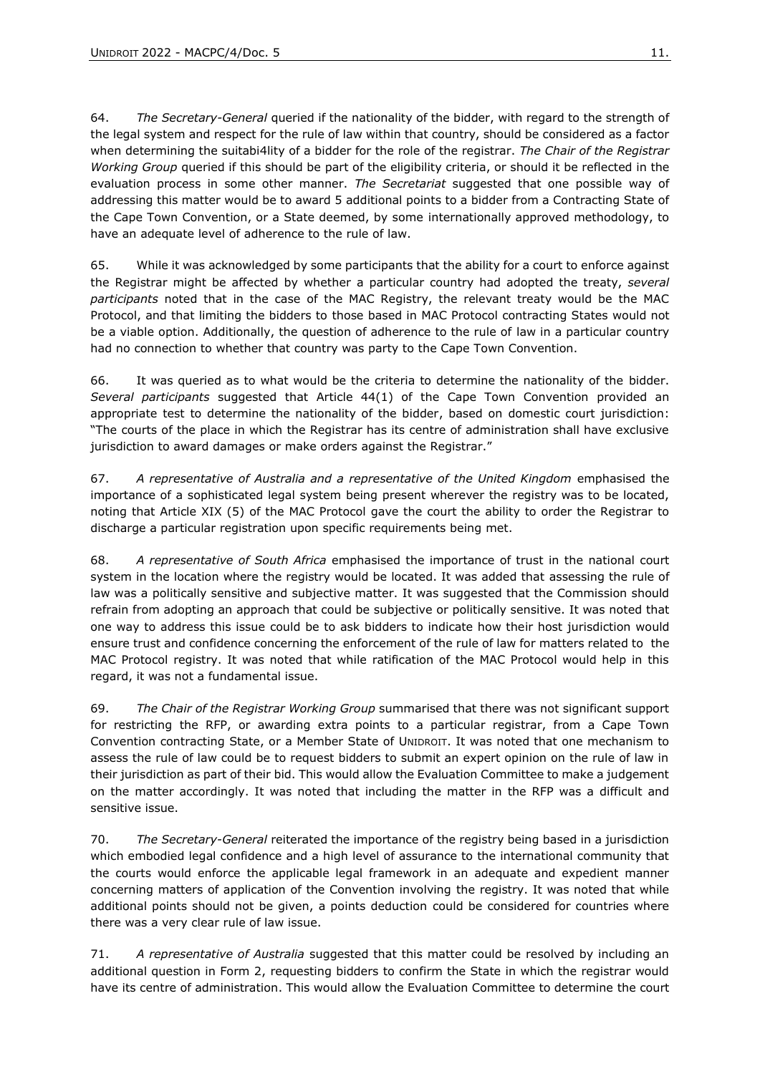64. *The Secretary-General* queried if the nationality of the bidder, with regard to the strength of the legal system and respect for the rule of law within that country, should be considered as a factor when determining the suitabi4lity of a bidder for the role of the registrar. *The Chair of the Registrar Working Group* queried if this should be part of the eligibility criteria, or should it be reflected in the evaluation process in some other manner. *The Secretariat* suggested that one possible way of addressing this matter would be to award 5 additional points to a bidder from a Contracting State of the Cape Town Convention, or a State deemed, by some internationally approved methodology, to have an adequate level of adherence to the rule of law.

65. While it was acknowledged by some participants that the ability for a court to enforce against the Registrar might be affected by whether a particular country had adopted the treaty, *several participants* noted that in the case of the MAC Registry, the relevant treaty would be the MAC Protocol, and that limiting the bidders to those based in MAC Protocol contracting States would not be a viable option. Additionally, the question of adherence to the rule of law in a particular country had no connection to whether that country was party to the Cape Town Convention.

66. It was queried as to what would be the criteria to determine the nationality of the bidder. *Several participants* suggested that Article 44(1) of the Cape Town Convention provided an appropriate test to determine the nationality of the bidder, based on domestic court jurisdiction: "The courts of the place in which the Registrar has its centre of administration shall have exclusive jurisdiction to award damages or make orders against the Registrar."

67. *A representative of Australia and a representative of the United Kingdom* emphasised the importance of a sophisticated legal system being present wherever the registry was to be located, noting that Article XIX (5) of the MAC Protocol gave the court the ability to order the Registrar to discharge a particular registration upon specific requirements being met.

68. *A representative of South Africa* emphasised the importance of trust in the national court system in the location where the registry would be located. It was added that assessing the rule of law was a politically sensitive and subjective matter. It was suggested that the Commission should refrain from adopting an approach that could be subjective or politically sensitive. It was noted that one way to address this issue could be to ask bidders to indicate how their host jurisdiction would ensure trust and confidence concerning the enforcement of the rule of law for matters related to the MAC Protocol registry. It was noted that while ratification of the MAC Protocol would help in this regard, it was not a fundamental issue.

69. *The Chair of the Registrar Working Group* summarised that there was not significant support for restricting the RFP, or awarding extra points to a particular registrar, from a Cape Town Convention contracting State, or a Member State of UNIDROIT. It was noted that one mechanism to assess the rule of law could be to request bidders to submit an expert opinion on the rule of law in their jurisdiction as part of their bid. This would allow the Evaluation Committee to make a judgement on the matter accordingly. It was noted that including the matter in the RFP was a difficult and sensitive issue.

70. *The Secretary-General* reiterated the importance of the registry being based in a jurisdiction which embodied legal confidence and a high level of assurance to the international community that the courts would enforce the applicable legal framework in an adequate and expedient manner concerning matters of application of the Convention involving the registry. It was noted that while additional points should not be given, a points deduction could be considered for countries where there was a very clear rule of law issue.

71. *A representative of Australia* suggested that this matter could be resolved by including an additional question in Form 2, requesting bidders to confirm the State in which the registrar would have its centre of administration. This would allow the Evaluation Committee to determine the court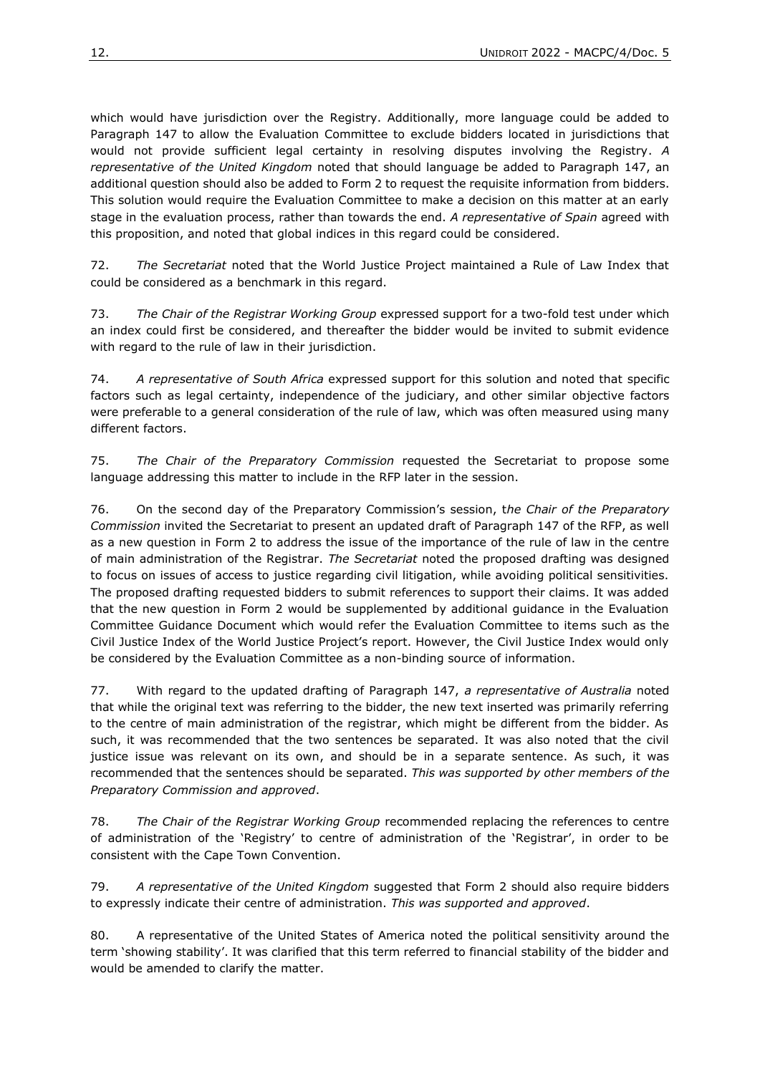which would have jurisdiction over the Registry. Additionally, more language could be added to Paragraph 147 to allow the Evaluation Committee to exclude bidders located in jurisdictions that would not provide sufficient legal certainty in resolving disputes involving the Registry. *A representative of the United Kingdom* noted that should language be added to Paragraph 147, an additional question should also be added to Form 2 to request the requisite information from bidders. This solution would require the Evaluation Committee to make a decision on this matter at an early stage in the evaluation process, rather than towards the end. *A representative of Spain* agreed with this proposition, and noted that global indices in this regard could be considered.

72. *The Secretariat* noted that the World Justice Project maintained a Rule of Law Index that could be considered as a benchmark in this regard.

73. *The Chair of the Registrar Working Group* expressed support for a two-fold test under which an index could first be considered, and thereafter the bidder would be invited to submit evidence with regard to the rule of law in their jurisdiction.

74. *A representative of South Africa* expressed support for this solution and noted that specific factors such as legal certainty, independence of the judiciary, and other similar objective factors were preferable to a general consideration of the rule of law, which was often measured using many different factors.

75. *The Chair of the Preparatory Commission* requested the Secretariat to propose some language addressing this matter to include in the RFP later in the session.

76. On the second day of the Preparatory Commission's session, t*he Chair of the Preparatory Commission* invited the Secretariat to present an updated draft of Paragraph 147 of the RFP, as well as a new question in Form 2 to address the issue of the importance of the rule of law in the centre of main administration of the Registrar. *The Secretariat* noted the proposed drafting was designed to focus on issues of access to justice regarding civil litigation, while avoiding political sensitivities. The proposed drafting requested bidders to submit references to support their claims. It was added that the new question in Form 2 would be supplemented by additional guidance in the Evaluation Committee Guidance Document which would refer the Evaluation Committee to items such as the Civil Justice Index of the World Justice Project's report. However, the Civil Justice Index would only be considered by the Evaluation Committee as a non-binding source of information.

77. With regard to the updated drafting of Paragraph 147, *a representative of Australia* noted that while the original text was referring to the bidder, the new text inserted was primarily referring to the centre of main administration of the registrar, which might be different from the bidder. As such, it was recommended that the two sentences be separated. It was also noted that the civil justice issue was relevant on its own, and should be in a separate sentence. As such, it was recommended that the sentences should be separated. *This was supported by other members of the Preparatory Commission and approved*.

78. *The Chair of the Registrar Working Group* recommended replacing the references to centre of administration of the 'Registry' to centre of administration of the 'Registrar', in order to be consistent with the Cape Town Convention.

79. *A representative of the United Kingdom* suggested that Form 2 should also require bidders to expressly indicate their centre of administration. *This was supported and approved*.

80. A representative of the United States of America noted the political sensitivity around the term 'showing stability'. It was clarified that this term referred to financial stability of the bidder and would be amended to clarify the matter.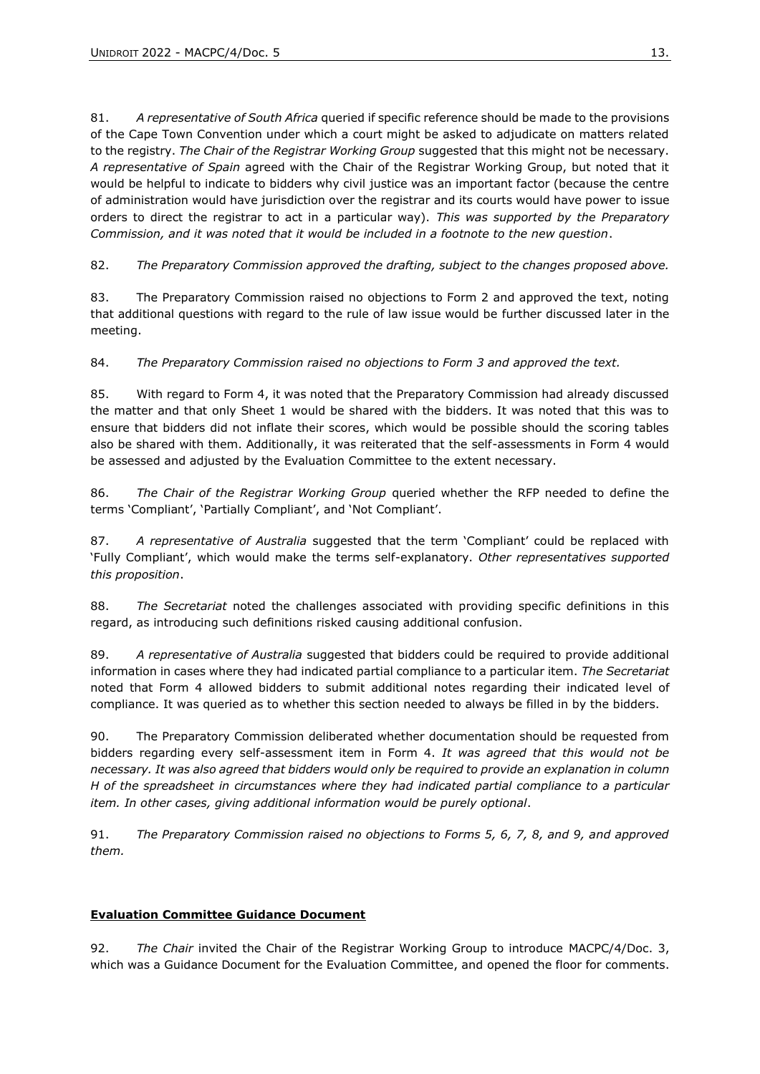81. *A representative of South Africa* queried if specific reference should be made to the provisions of the Cape Town Convention under which a court might be asked to adjudicate on matters related to the registry. *The Chair of the Registrar Working Group* suggested that this might not be necessary. *A representative of Spain* agreed with the Chair of the Registrar Working Group, but noted that it would be helpful to indicate to bidders why civil justice was an important factor (because the centre of administration would have jurisdiction over the registrar and its courts would have power to issue orders to direct the registrar to act in a particular way). *This was supported by the Preparatory Commission, and it was noted that it would be included in a footnote to the new question*.

82. *The Preparatory Commission approved the drafting, subject to the changes proposed above.*

83. The Preparatory Commission raised no objections to Form 2 and approved the text, noting that additional questions with regard to the rule of law issue would be further discussed later in the meeting.

84. *The Preparatory Commission raised no objections to Form 3 and approved the text.*

85. With regard to Form 4, it was noted that the Preparatory Commission had already discussed the matter and that only Sheet 1 would be shared with the bidders. It was noted that this was to ensure that bidders did not inflate their scores, which would be possible should the scoring tables also be shared with them. Additionally, it was reiterated that the self-assessments in Form 4 would be assessed and adjusted by the Evaluation Committee to the extent necessary.

86. *The Chair of the Registrar Working Group* queried whether the RFP needed to define the terms 'Compliant', 'Partially Compliant', and 'Not Compliant'.

87. *A representative of Australia* suggested that the term 'Compliant' could be replaced with 'Fully Compliant', which would make the terms self-explanatory. *Other representatives supported this proposition*.

88. *The Secretariat* noted the challenges associated with providing specific definitions in this regard, as introducing such definitions risked causing additional confusion.

89. *A representative of Australia* suggested that bidders could be required to provide additional information in cases where they had indicated partial compliance to a particular item. *The Secretariat* noted that Form 4 allowed bidders to submit additional notes regarding their indicated level of compliance. It was queried as to whether this section needed to always be filled in by the bidders.

90. The Preparatory Commission deliberated whether documentation should be requested from bidders regarding every self-assessment item in Form 4. *It was agreed that this would not be necessary. It was also agreed that bidders would only be required to provide an explanation in column H of the spreadsheet in circumstances where they had indicated partial compliance to a particular item. In other cases, giving additional information would be purely optional*.

91. *The Preparatory Commission raised no objections to Forms 5, 6, 7, 8, and 9, and approved them.*

#### **Evaluation Committee Guidance Document**

92. *The Chair* invited the Chair of the Registrar Working Group to introduce MACPC/4/Doc. 3, which was a Guidance Document for the Evaluation Committee, and opened the floor for comments.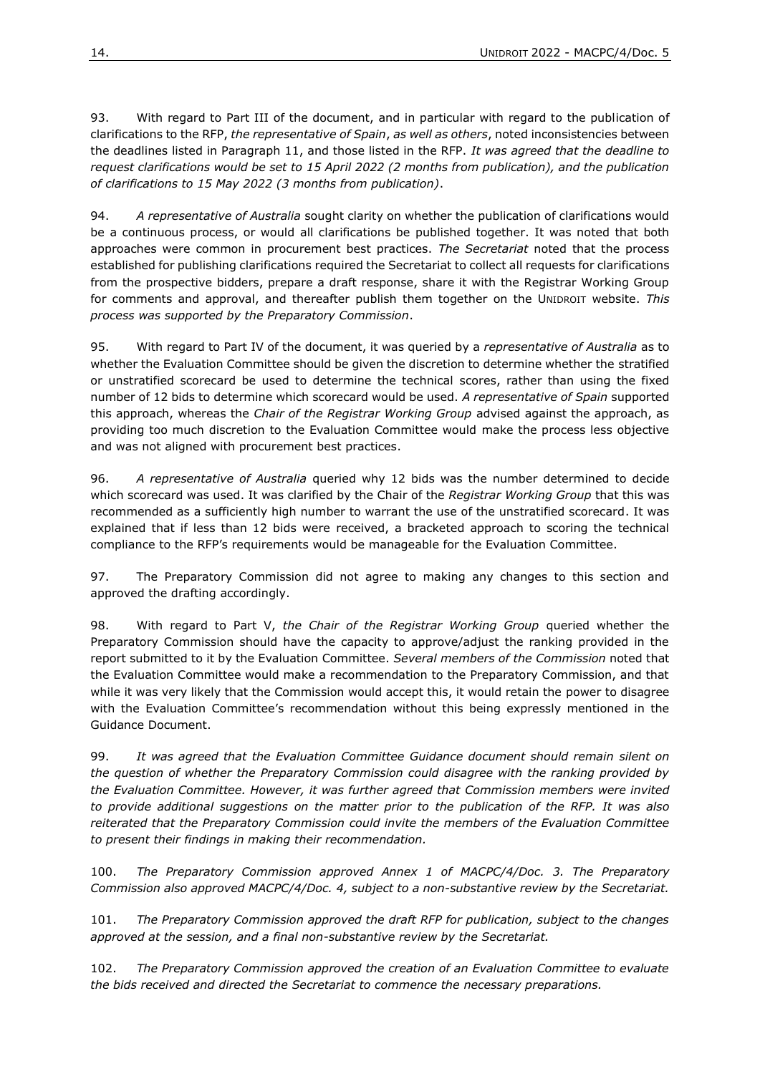93. With regard to Part III of the document, and in particular with regard to the publication of clarifications to the RFP, *the representative of Spain*, *as well as others*, noted inconsistencies between the deadlines listed in Paragraph 11, and those listed in the RFP. *It was agreed that the deadline to request clarifications would be set to 15 April 2022 (2 months from publication), and the publication of clarifications to 15 May 2022 (3 months from publication)*.

94. *A representative of Australia* sought clarity on whether the publication of clarifications would be a continuous process, or would all clarifications be published together. It was noted that both approaches were common in procurement best practices. *The Secretariat* noted that the process established for publishing clarifications required the Secretariat to collect all requests for clarifications from the prospective bidders, prepare a draft response, share it with the Registrar Working Group for comments and approval, and thereafter publish them together on the UNIDROIT website. *This process was supported by the Preparatory Commission*.

95. With regard to Part IV of the document, it was queried by a *representative of Australia* as to whether the Evaluation Committee should be given the discretion to determine whether the stratified or unstratified scorecard be used to determine the technical scores, rather than using the fixed number of 12 bids to determine which scorecard would be used. *A representative of Spain* supported this approach, whereas the *Chair of the Registrar Working Group* advised against the approach, as providing too much discretion to the Evaluation Committee would make the process less objective and was not aligned with procurement best practices.

96. *A representative of Australia* queried why 12 bids was the number determined to decide which scorecard was used. It was clarified by the Chair of the *Registrar Working Group* that this was recommended as a sufficiently high number to warrant the use of the unstratified scorecard. It was explained that if less than 12 bids were received, a bracketed approach to scoring the technical compliance to the RFP's requirements would be manageable for the Evaluation Committee.

97. The Preparatory Commission did not agree to making any changes to this section and approved the drafting accordingly.

98. With regard to Part V, *the Chair of the Registrar Working Group* queried whether the Preparatory Commission should have the capacity to approve/adjust the ranking provided in the report submitted to it by the Evaluation Committee. *Several members of the Commission* noted that the Evaluation Committee would make a recommendation to the Preparatory Commission, and that while it was very likely that the Commission would accept this, it would retain the power to disagree with the Evaluation Committee's recommendation without this being expressly mentioned in the Guidance Document.

99. *It was agreed that the Evaluation Committee Guidance document should remain silent on the question of whether the Preparatory Commission could disagree with the ranking provided by the Evaluation Committee. However, it was further agreed that Commission members were invited to provide additional suggestions on the matter prior to the publication of the RFP. It was also reiterated that the Preparatory Commission could invite the members of the Evaluation Committee to present their findings in making their recommendation.*

100. *The Preparatory Commission approved Annex 1 of MACPC/4/Doc. 3. The Preparatory Commission also approved MACPC/4/Doc. 4, subject to a non-substantive review by the Secretariat.*

101. *The Preparatory Commission approved the draft RFP for publication, subject to the changes approved at the session, and a final non-substantive review by the Secretariat.* 

102. *The Preparatory Commission approved the creation of an Evaluation Committee to evaluate the bids received and directed the Secretariat to commence the necessary preparations.*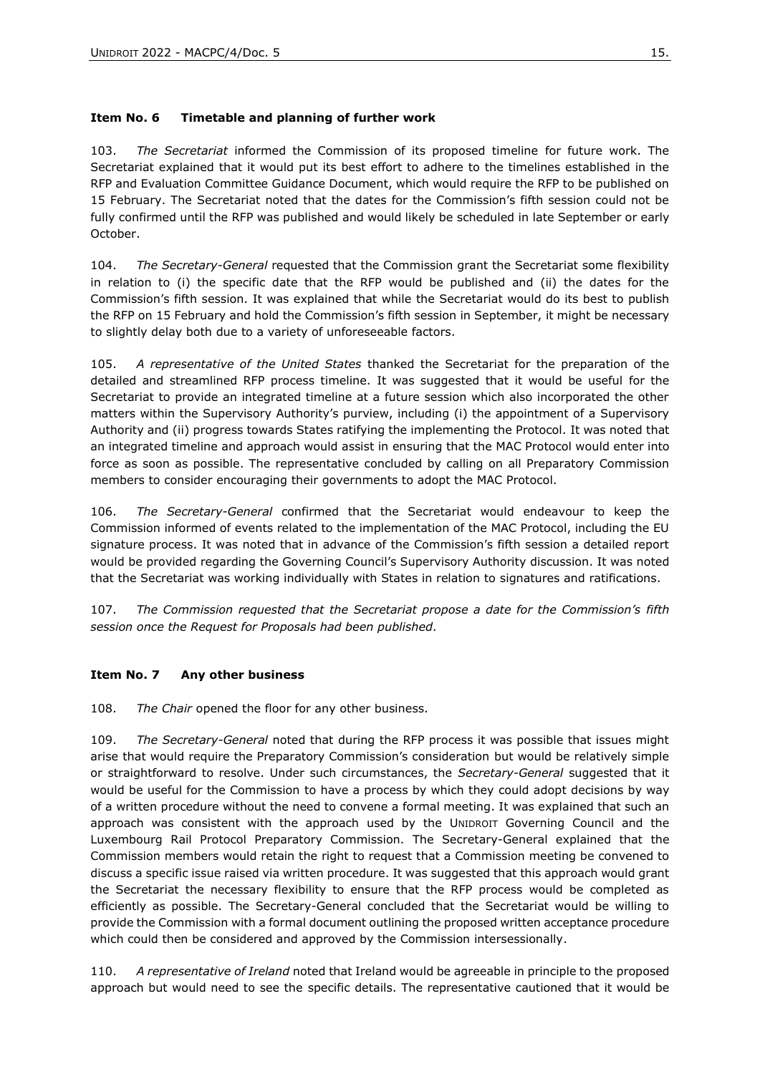#### <span id="page-14-0"></span>**Item No. 6 Timetable and planning of further work**

103. *The Secretariat* informed the Commission of its proposed timeline for future work. The Secretariat explained that it would put its best effort to adhere to the timelines established in the RFP and Evaluation Committee Guidance Document, which would require the RFP to be published on 15 February. The Secretariat noted that the dates for the Commission's fifth session could not be fully confirmed until the RFP was published and would likely be scheduled in late September or early October.

104. *The Secretary-General* requested that the Commission grant the Secretariat some flexibility in relation to (i) the specific date that the RFP would be published and (ii) the dates for the Commission's fifth session. It was explained that while the Secretariat would do its best to publish the RFP on 15 February and hold the Commission's fifth session in September, it might be necessary to slightly delay both due to a variety of unforeseeable factors.

105. *A representative of the United States* thanked the Secretariat for the preparation of the detailed and streamlined RFP process timeline. It was suggested that it would be useful for the Secretariat to provide an integrated timeline at a future session which also incorporated the other matters within the Supervisory Authority's purview, including (i) the appointment of a Supervisory Authority and (ii) progress towards States ratifying the implementing the Protocol. It was noted that an integrated timeline and approach would assist in ensuring that the MAC Protocol would enter into force as soon as possible. The representative concluded by calling on all Preparatory Commission members to consider encouraging their governments to adopt the MAC Protocol.

106. *The Secretary-General* confirmed that the Secretariat would endeavour to keep the Commission informed of events related to the implementation of the MAC Protocol, including the EU signature process. It was noted that in advance of the Commission's fifth session a detailed report would be provided regarding the Governing Council's Supervisory Authority discussion. It was noted that the Secretariat was working individually with States in relation to signatures and ratifications.

107. *The Commission requested that the Secretariat propose a date for the Commission's fifth session once the Request for Proposals had been published.* 

#### <span id="page-14-1"></span>**Item No. 7 Any other business**

108. *The Chair* opened the floor for any other business.

109. *The Secretary-General* noted that during the RFP process it was possible that issues might arise that would require the Preparatory Commission's consideration but would be relatively simple or straightforward to resolve. Under such circumstances, the *Secretary-General* suggested that it would be useful for the Commission to have a process by which they could adopt decisions by way of a written procedure without the need to convene a formal meeting. It was explained that such an approach was consistent with the approach used by the UNIDROIT Governing Council and the Luxembourg Rail Protocol Preparatory Commission. The Secretary-General explained that the Commission members would retain the right to request that a Commission meeting be convened to discuss a specific issue raised via written procedure. It was suggested that this approach would grant the Secretariat the necessary flexibility to ensure that the RFP process would be completed as efficiently as possible. The Secretary-General concluded that the Secretariat would be willing to provide the Commission with a formal document outlining the proposed written acceptance procedure which could then be considered and approved by the Commission intersessionally.

110. *A representative of Ireland* noted that Ireland would be agreeable in principle to the proposed approach but would need to see the specific details. The representative cautioned that it would be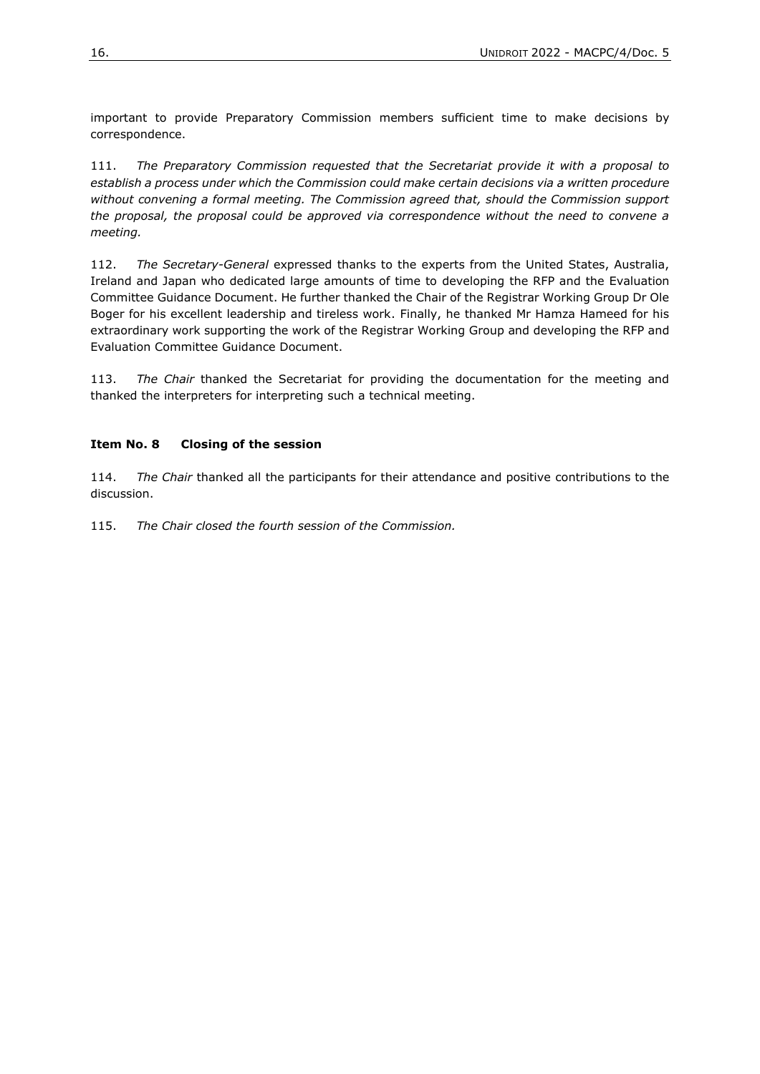important to provide Preparatory Commission members sufficient time to make decisions by correspondence.

111. *The Preparatory Commission requested that the Secretariat provide it with a proposal to establish a process under which the Commission could make certain decisions via a written procedure without convening a formal meeting. The Commission agreed that, should the Commission support the proposal, the proposal could be approved via correspondence without the need to convene a meeting.* 

112. *The Secretary-General* expressed thanks to the experts from the United States, Australia, Ireland and Japan who dedicated large amounts of time to developing the RFP and the Evaluation Committee Guidance Document. He further thanked the Chair of the Registrar Working Group Dr Ole Boger for his excellent leadership and tireless work. Finally, he thanked Mr Hamza Hameed for his extraordinary work supporting the work of the Registrar Working Group and developing the RFP and Evaluation Committee Guidance Document.

113. *The Chair* thanked the Secretariat for providing the documentation for the meeting and thanked the interpreters for interpreting such a technical meeting.

#### <span id="page-15-0"></span>**Item No. 8 Closing of the session**

114. *The Chair* thanked all the participants for their attendance and positive contributions to the discussion.

115. *The Chair closed the fourth session of the Commission.*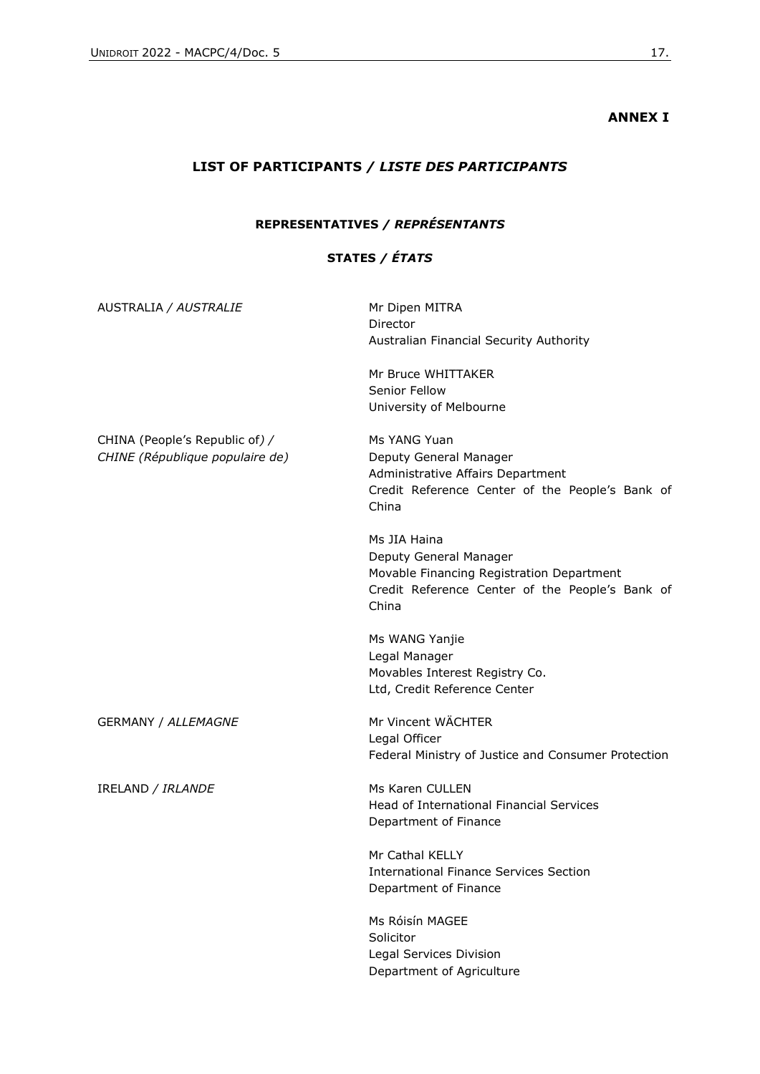## **ANNEX I**

## <span id="page-16-1"></span><span id="page-16-0"></span>**LIST OF PARTICIPANTS** */ LISTE DES PARTICIPANTS*

### **REPRESENTATIVES** */ REPRÉSENTANTS*

### **STATES** */ ÉTATS*

| AUSTRALIA / AUSTRALIE                                             | Mr Dipen MITRA<br>Director<br>Australian Financial Security Authority<br>Mr Bruce WHITTAKER<br>Senior Fellow<br>University of Melbourne         |
|-------------------------------------------------------------------|-------------------------------------------------------------------------------------------------------------------------------------------------|
| CHINA (People's Republic of) /<br>CHINE (République populaire de) | Ms YANG Yuan<br>Deputy General Manager<br>Administrative Affairs Department<br>Credit Reference Center of the People's Bank of<br>China         |
|                                                                   | Ms JIA Haina<br>Deputy General Manager<br>Movable Financing Registration Department<br>Credit Reference Center of the People's Bank of<br>China |
|                                                                   | Ms WANG Yanjie<br>Legal Manager<br>Movables Interest Registry Co.<br>Ltd, Credit Reference Center                                               |
| <b>GERMANY / ALLEMAGNE</b>                                        | Mr Vincent WÄCHTER<br>Legal Officer<br>Federal Ministry of Justice and Consumer Protection                                                      |
| IRELAND / IRLANDE                                                 | Ms Karen CULLEN<br>Head of International Financial Services<br>Department of Finance                                                            |
|                                                                   | Mr Cathal KELLY<br><b>International Finance Services Section</b><br>Department of Finance                                                       |
|                                                                   | Ms Róisín MAGEE<br>Solicitor<br>Legal Services Division<br>Department of Agriculture                                                            |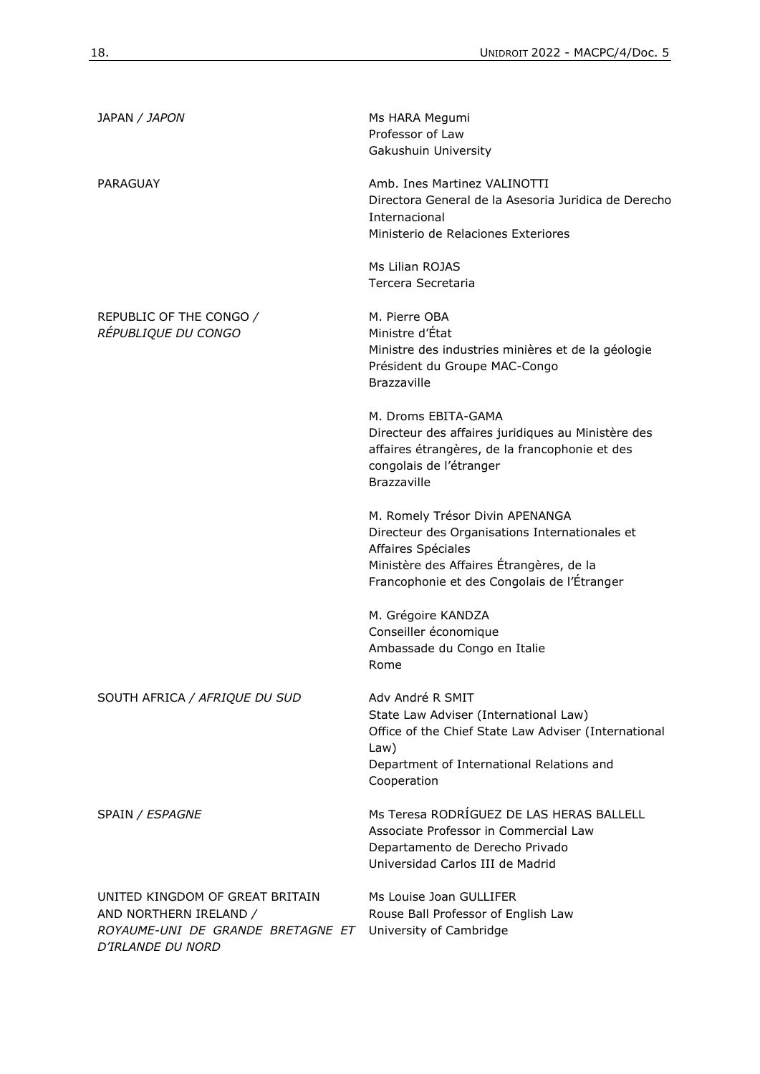| JAPAN / JAPON                                                                                                       | Ms HARA Megumi<br>Professor of Law<br>Gakushuin University                                                                                                                                         |
|---------------------------------------------------------------------------------------------------------------------|----------------------------------------------------------------------------------------------------------------------------------------------------------------------------------------------------|
| PARAGUAY                                                                                                            | Amb. Ines Martinez VALINOTTI<br>Directora General de la Asesoria Juridica de Derecho<br>Internacional<br>Ministerio de Relaciones Exteriores                                                       |
|                                                                                                                     | Ms Lilian ROJAS<br>Tercera Secretaria                                                                                                                                                              |
| REPUBLIC OF THE CONGO /<br>RÉPUBLIQUE DU CONGO                                                                      | M. Pierre OBA<br>Ministre d'État<br>Ministre des industries minières et de la géologie<br>Président du Groupe MAC-Congo<br>Brazzaville                                                             |
|                                                                                                                     | M. Droms EBITA-GAMA<br>Directeur des affaires juridiques au Ministère des<br>affaires étrangères, de la francophonie et des<br>congolais de l'étranger<br>Brazzaville                              |
|                                                                                                                     | M. Romely Trésor Divin APENANGA<br>Directeur des Organisations Internationales et<br>Affaires Spéciales<br>Ministère des Affaires Étrangères, de la<br>Francophonie et des Congolais de l'Étranger |
|                                                                                                                     | M. Grégoire KANDZA<br>Conseiller économique<br>Ambassade du Congo en Italie<br>Rome                                                                                                                |
| SOUTH AFRICA / AFRIQUE DU SUD                                                                                       | Adv André R SMIT<br>State Law Adviser (International Law)<br>Office of the Chief State Law Adviser (International<br>Law)<br>Department of International Relations and<br>Cooperation              |
| SPAIN / ESPAGNE                                                                                                     | Ms Teresa RODRÍGUEZ DE LAS HERAS BALLELL<br>Associate Professor in Commercial Law<br>Departamento de Derecho Privado<br>Universidad Carlos III de Madrid                                           |
| UNITED KINGDOM OF GREAT BRITAIN<br>AND NORTHERN IRELAND /<br>ROYAUME-UNI DE GRANDE BRETAGNE ET<br>D'IRLANDE DU NORD | Ms Louise Joan GULLIFER<br>Rouse Ball Professor of English Law<br>University of Cambridge                                                                                                          |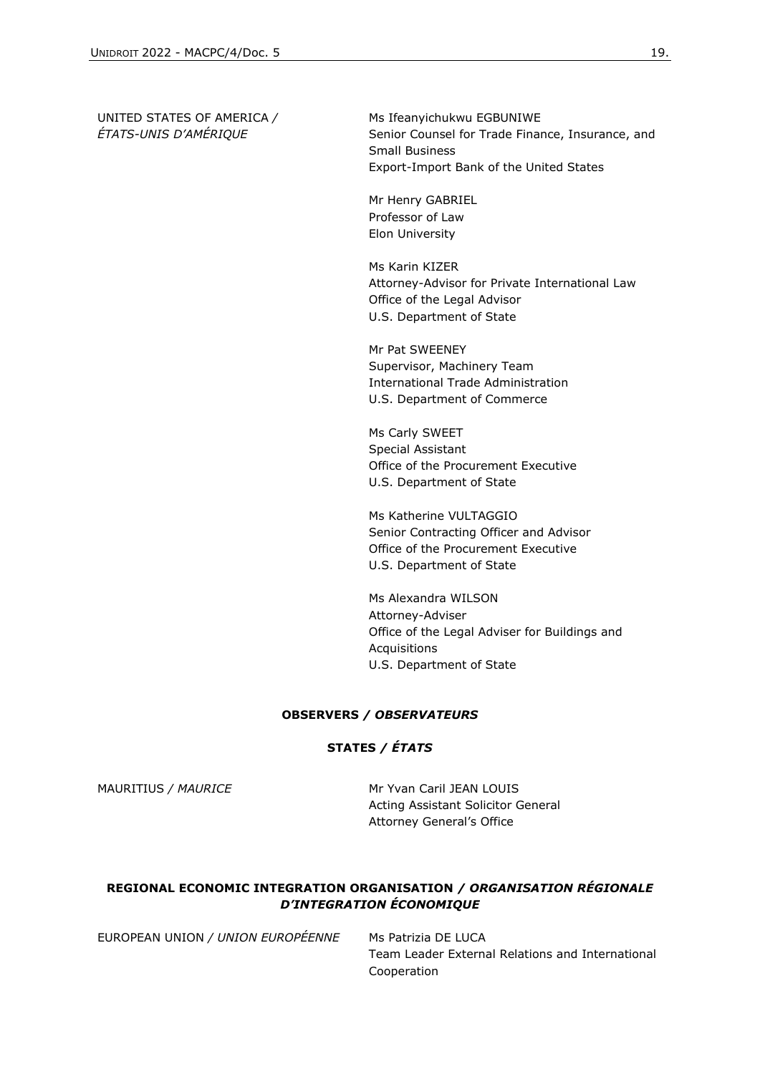UNITED STATES OF AMERICA */ ÉTATS-UNIS D'AMÉRIQUE*

Ms Ifeanyichukwu EGBUNIWE Senior Counsel for Trade Finance, Insurance, and Small Business Export-Import Bank of the United States

Mr Henry GABRIEL Professor of Law Elon University

Ms Karin KIZER Attorney-Advisor for Private International Law Office of the Legal Advisor U.S. Department of State

Mr Pat SWEENEY Supervisor, Machinery Team International Trade Administration U.S. Department of Commerce

Ms Carly SWEET Special Assistant Office of the Procurement Executive U.S. Department of State

Ms Katherine VULTAGGIO Senior Contracting Officer and Advisor Office of the Procurement Executive U.S. Department of State

Ms Alexandra WILSON Attorney-Adviser Office of the Legal Adviser for Buildings and Acquisitions U.S. Department of State

#### **OBSERVERS** */ OBSERVATEURS*

#### **STATES** */ ÉTATS*

MAURITIUS / MAURICE MR Yvan Caril JEAN LOUIS Acting Assistant Solicitor General [Attorney General](https://attorneygeneral.govmu.org/)'s Office

#### **REGIONAL ECONOMIC INTEGRATION ORGANISATION** */ ORGANISATION RÉGIONALE D'INTEGRATION ÉCONOMIQUE*

EUROPEAN UNION */ UNION EUROPÉENNE* Ms Patrizia DE LUCA

Team Leader External Relations and International Cooperation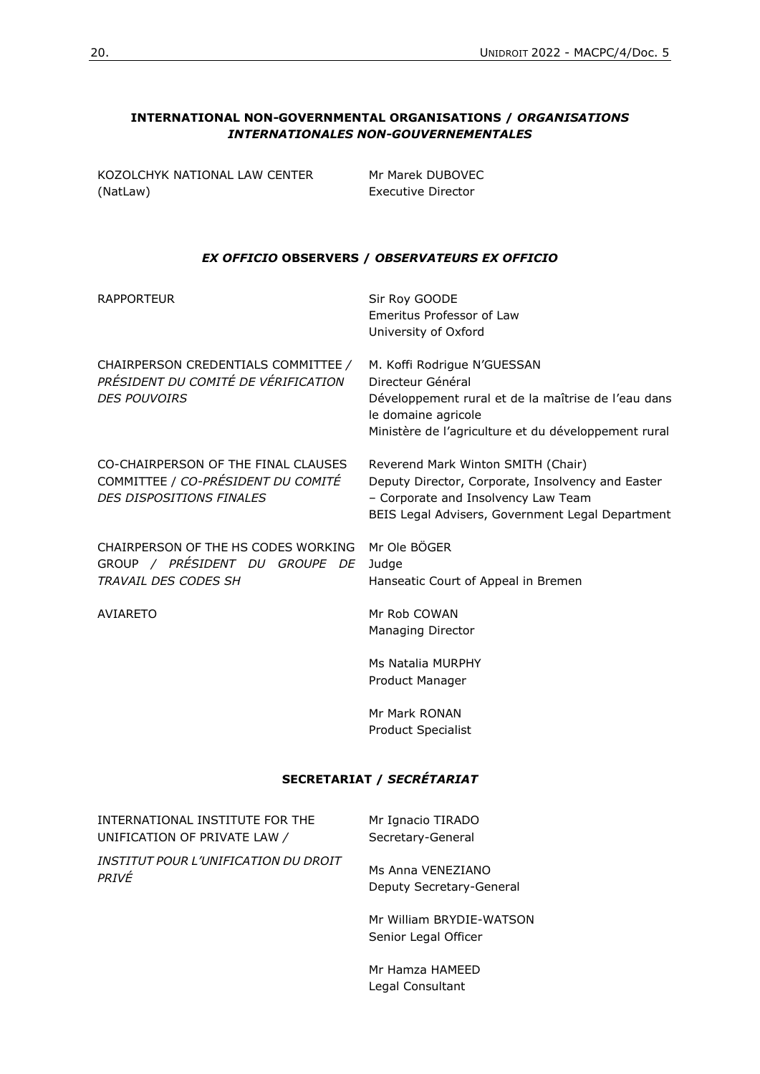#### **INTERNATIONAL NON-GOVERNMENTAL ORGANISATIONS /** *ORGANISATIONS INTERNATIONALES NON-GOUVERNEMENTALES*

| KOZOLCHYK NATIONAL LAW CENTER |  |
|-------------------------------|--|
| (NatLaw)                      |  |

Mr Marek DUBOVEC Executive Director

#### *EX OFFICIO* **OBSERVERS /** *OBSERVATEURS EX OFFICIO*

| <b>RAPPORTEUR</b>                                                                                     | Sir Roy GOODE<br>Emeritus Professor of Law<br>University of Oxford                                                                                                                     |  |  |  |
|-------------------------------------------------------------------------------------------------------|----------------------------------------------------------------------------------------------------------------------------------------------------------------------------------------|--|--|--|
| CHAIRPERSON CREDENTIALS COMMITTEE /<br>PRÉSIDENT DU COMITÉ DE VÉRIFICATION<br><b>DES POUVOIRS</b>     | M. Koffi Rodrigue N'GUESSAN<br>Directeur Général<br>Développement rural et de la maîtrise de l'eau dans<br>le domaine agricole<br>Ministère de l'agriculture et du développement rural |  |  |  |
| CO-CHAIRPERSON OF THE FINAL CLAUSES<br>COMMITTEE / CO-PRÉSIDENT DU COMITÉ<br>DES DISPOSITIONS FINALES | Reverend Mark Winton SMITH (Chair)<br>Deputy Director, Corporate, Insolvency and Easter<br>- Corporate and Insolvency Law Team<br>BEIS Legal Advisers, Government Legal Department     |  |  |  |
| CHAIRPERSON OF THE HS CODES WORKING<br>GROUP / PRÉSIDENT DU GROUPE DE<br>TRAVAIL DES CODES SH         | Mr Ole BÖGER<br>Judge<br>Hanseatic Court of Appeal in Bremen                                                                                                                           |  |  |  |
| <b>AVIARETO</b>                                                                                       | Mr Rob COWAN<br>Managing Director                                                                                                                                                      |  |  |  |
|                                                                                                       | Ms Natalia MURPHY<br>Product Manager                                                                                                                                                   |  |  |  |
|                                                                                                       | Mr Mark RONAN<br>Product Specialist                                                                                                                                                    |  |  |  |
| SECRETARIAT / SECRÉTARIAT                                                                             |                                                                                                                                                                                        |  |  |  |
| INTERNATIONAL INSTITUTE FOR THE<br>UNIFICATION OF PRIVATE LAW /                                       | Mr Ignacio TIRADO<br>Secretary-General                                                                                                                                                 |  |  |  |
| <b>INSTITUT POUR L'UNIFICATION DU DROIT</b><br>PRIVÉ                                                  | Ms Anna VENEZIANO<br>Deputy Secretary-General                                                                                                                                          |  |  |  |
|                                                                                                       | Mr William BRYDIE-WATSON<br>Senior Legal Officer                                                                                                                                       |  |  |  |
|                                                                                                       | Mr Hamza HAMEED<br>Legal Consultant                                                                                                                                                    |  |  |  |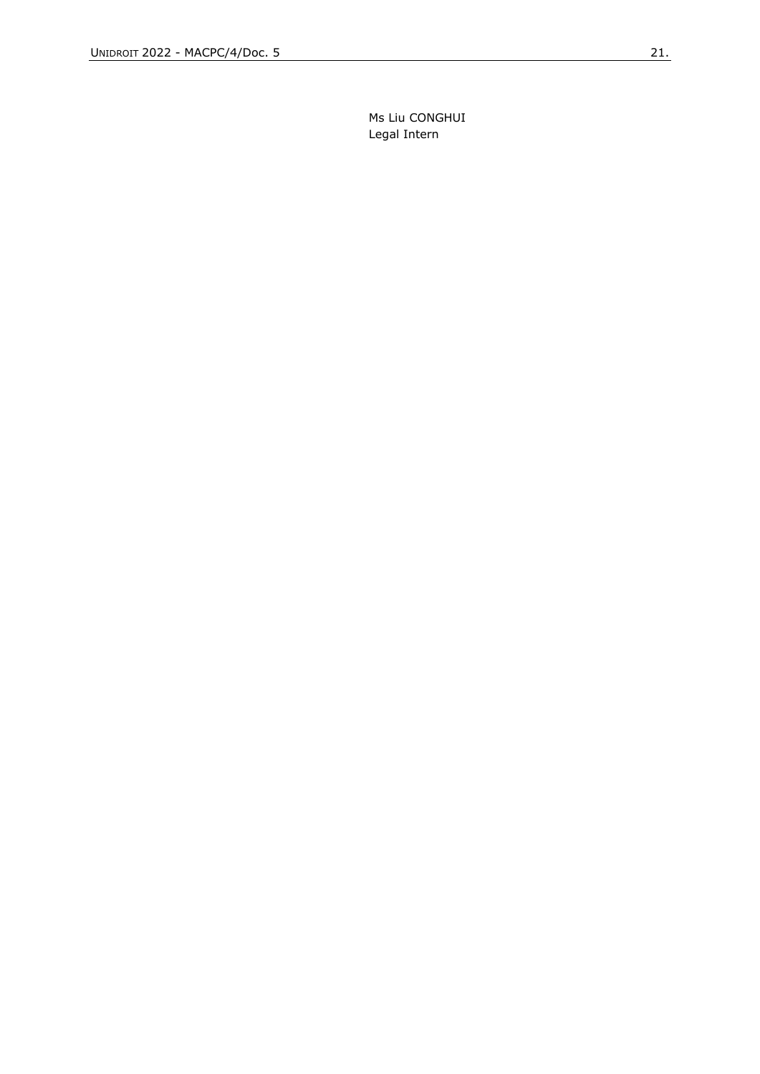Ms Liu CONGHUI Legal Intern